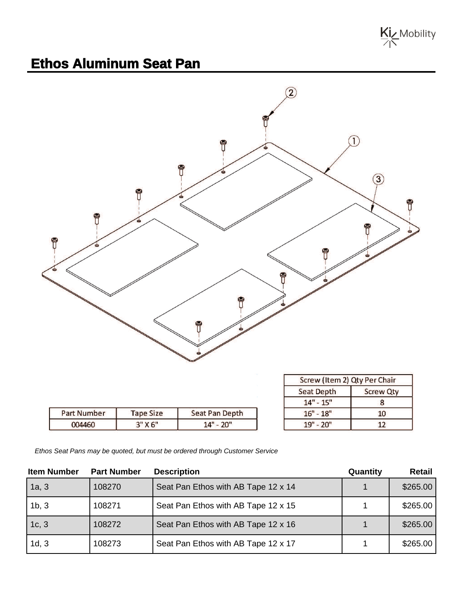

## **Ethos Aluminum Seat Pan**



| <b>Part Number</b> | <b>Tape Size</b> | Seat Pan Depth |
|--------------------|------------------|----------------|
| 004460             | 3"X6"            | $14" - 20"$    |

| Screw (Item 2) Qty Per Chair |                  |  |
|------------------------------|------------------|--|
| <b>Seat Depth</b>            | <b>Screw Qty</b> |  |
| $14" - 15"$                  | 8                |  |
| $16" - 18"$                  | 10               |  |
| $19" - 20"$                  |                  |  |

Ethos Seat Pans may be quoted, but must be ordered through Customer Service

| <b>Item Number</b> | <b>Part Number</b> | <b>Description</b>                  | Quantity | Retail   |
|--------------------|--------------------|-------------------------------------|----------|----------|
| 1a, 3              | 108270             | Seat Pan Ethos with AB Tape 12 x 14 |          | \$265.00 |
| 1b, 3              | 108271             | Seat Pan Ethos with AB Tape 12 x 15 |          | \$265.00 |
| 1c, 3              | 108272             | Seat Pan Ethos with AB Tape 12 x 16 |          | \$265.00 |
| 1d, 3              | 108273             | Seat Pan Ethos with AB Tape 12 x 17 |          | \$265.00 |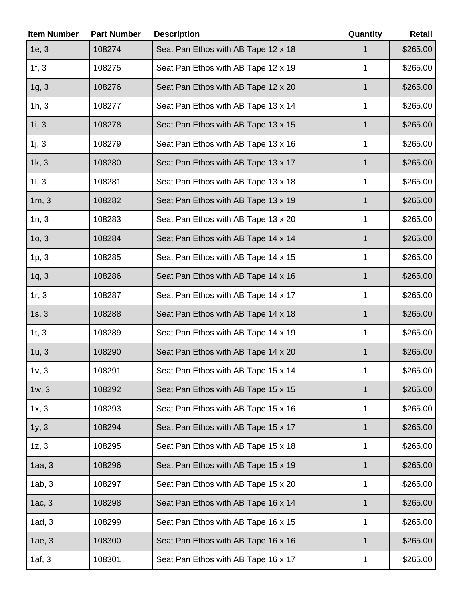| <b>Item Number</b> | <b>Part Number</b> | <b>Description</b>                  | Quantity    | <b>Retail</b> |
|--------------------|--------------------|-------------------------------------|-------------|---------------|
| 1e, 3              | 108274             | Seat Pan Ethos with AB Tape 12 x 18 |             | \$265.00      |
| 1f, 3              | 108275             | Seat Pan Ethos with AB Tape 12 x 19 | 1           | \$265.00      |
| 1g, 3              | 108276             | Seat Pan Ethos with AB Tape 12 x 20 | 1           | \$265.00      |
| 1h, 3              | 108277             | Seat Pan Ethos with AB Tape 13 x 14 | 1           | \$265.00      |
| 1i, 3              | 108278             | Seat Pan Ethos with AB Tape 13 x 15 | 1           | \$265.00      |
| 1j, 3              | 108279             | Seat Pan Ethos with AB Tape 13 x 16 | 1           | \$265.00      |
| 1k, 3              | 108280             | Seat Pan Ethos with AB Tape 13 x 17 | 1           | \$265.00      |
| 11, 3              | 108281             | Seat Pan Ethos with AB Tape 13 x 18 | 1           | \$265.00      |
| 1m, 3              | 108282             | Seat Pan Ethos with AB Tape 13 x 19 | 1           | \$265.00      |
| 1n, 3              | 108283             | Seat Pan Ethos with AB Tape 13 x 20 | 1           | \$265.00      |
| 10, 3              | 108284             | Seat Pan Ethos with AB Tape 14 x 14 | 1           | \$265.00      |
| 1p, 3              | 108285             | Seat Pan Ethos with AB Tape 14 x 15 | 1           | \$265.00      |
| 1q, 3              | 108286             | Seat Pan Ethos with AB Tape 14 x 16 | $\mathbf 1$ | \$265.00      |
| 1r, 3              | 108287             | Seat Pan Ethos with AB Tape 14 x 17 | 1           | \$265.00      |
| 1s, 3              | 108288             | Seat Pan Ethos with AB Tape 14 x 18 | 1           | \$265.00      |
| 1t, 3              | 108289             | Seat Pan Ethos with AB Tape 14 x 19 | 1           | \$265.00      |
| 1u, 3              | 108290             | Seat Pan Ethos with AB Tape 14 x 20 | 1           | \$265.00      |
| 1v, 3              | 108291             | Seat Pan Ethos with AB Tape 15 x 14 | 1           | \$265.00      |
| 1w, 3              | 108292             | Seat Pan Ethos with AB Tape 15 x 15 | 1           | \$265.00      |
| 1x, 3              | 108293             | Seat Pan Ethos with AB Tape 15 x 16 | 1           | \$265.00      |
| 1y, 3              | 108294             | Seat Pan Ethos with AB Tape 15 x 17 | 1           | \$265.00      |
| 1z, 3              | 108295             | Seat Pan Ethos with AB Tape 15 x 18 | 1           | \$265.00      |
| 1aa, 3             | 108296             | Seat Pan Ethos with AB Tape 15 x 19 | 1           | \$265.00      |
| 1ab, 3             | 108297             | Seat Pan Ethos with AB Tape 15 x 20 | 1           | \$265.00      |
| 1ac, 3             | 108298             | Seat Pan Ethos with AB Tape 16 x 14 | 1           | \$265.00      |
| 1ad, 3             | 108299             | Seat Pan Ethos with AB Tape 16 x 15 | 1           | \$265.00      |
| 1ae, 3             | 108300             | Seat Pan Ethos with AB Tape 16 x 16 | 1           | \$265.00      |
| 1af, 3             | 108301             | Seat Pan Ethos with AB Tape 16 x 17 | 1           | \$265.00      |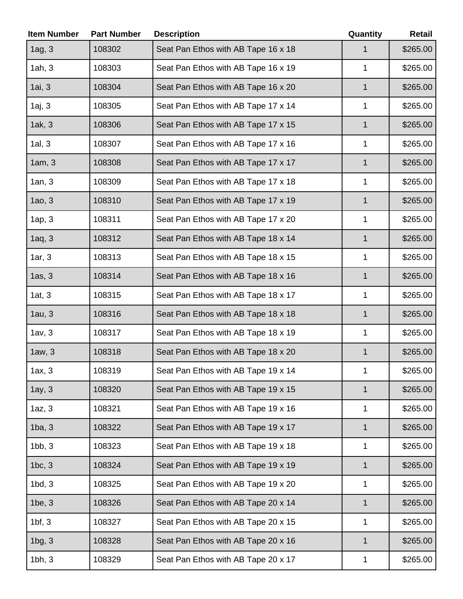| <b>Item Number</b> | <b>Part Number</b> | <b>Description</b>                  | Quantity     | <b>Retail</b> |
|--------------------|--------------------|-------------------------------------|--------------|---------------|
| $1ag, 3$           | 108302             | Seat Pan Ethos with AB Tape 16 x 18 |              | \$265.00      |
| 1ah, 3             | 108303             | Seat Pan Ethos with AB Tape 16 x 19 | 1            | \$265.00      |
| 1ai, 3             | 108304             | Seat Pan Ethos with AB Tape 16 x 20 | 1            | \$265.00      |
| 1aj, 3             | 108305             | Seat Pan Ethos with AB Tape 17 x 14 | 1            | \$265.00      |
| 1ak, 3             | 108306             | Seat Pan Ethos with AB Tape 17 x 15 | 1            | \$265.00      |
| 1al, 3             | 108307             | Seat Pan Ethos with AB Tape 17 x 16 | 1            | \$265.00      |
| 1am, 3             | 108308             | Seat Pan Ethos with AB Tape 17 x 17 | $\mathbf 1$  | \$265.00      |
| 1an, 3             | 108309             | Seat Pan Ethos with AB Tape 17 x 18 | 1            | \$265.00      |
| 1a0, 3             | 108310             | Seat Pan Ethos with AB Tape 17 x 19 | 1            | \$265.00      |
| 1ap, 3             | 108311             | Seat Pan Ethos with AB Tape 17 x 20 | 1            | \$265.00      |
| 1aq, 3             | 108312             | Seat Pan Ethos with AB Tape 18 x 14 | 1            | \$265.00      |
| 1ar, 3             | 108313             | Seat Pan Ethos with AB Tape 18 x 15 | 1            | \$265.00      |
| 1as, 3             | 108314             | Seat Pan Ethos with AB Tape 18 x 16 | $\mathbf 1$  | \$265.00      |
| 1at, 3             | 108315             | Seat Pan Ethos with AB Tape 18 x 17 | 1            | \$265.00      |
| 1au, 3             | 108316             | Seat Pan Ethos with AB Tape 18 x 18 | 1            | \$265.00      |
| 1av, 3             | 108317             | Seat Pan Ethos with AB Tape 18 x 19 | 1            | \$265.00      |
| 1aw, 3             | 108318             | Seat Pan Ethos with AB Tape 18 x 20 | 1            | \$265.00      |
| 1ax, 3             | 108319             | Seat Pan Ethos with AB Tape 19 x 14 | 1            | \$265.00      |
| 1ay, 3             | 108320             | Seat Pan Ethos with AB Tape 19 x 15 | $\mathbf 1$  | \$265.00      |
| 1az, 3             | 108321             | Seat Pan Ethos with AB Tape 19 x 16 | 1            | \$265.00      |
| 1ba, 3             | 108322             | Seat Pan Ethos with AB Tape 19 x 17 | 1            | \$265.00      |
| 1bb, 3             | 108323             | Seat Pan Ethos with AB Tape 19 x 18 | 1            | \$265.00      |
| 1bc, 3             | 108324             | Seat Pan Ethos with AB Tape 19 x 19 | 1            | \$265.00      |
| 1bd, 3             | 108325             | Seat Pan Ethos with AB Tape 19 x 20 | 1            | \$265.00      |
| 1be, 3             | 108326             | Seat Pan Ethos with AB Tape 20 x 14 | $\mathbf{1}$ | \$265.00      |
| $1bf$ , 3          | 108327             | Seat Pan Ethos with AB Tape 20 x 15 | 1            | \$265.00      |
| 1bg, 3             | 108328             | Seat Pan Ethos with AB Tape 20 x 16 | 1            | \$265.00      |
| 1bh, 3             | 108329             | Seat Pan Ethos with AB Tape 20 x 17 | 1            | \$265.00      |